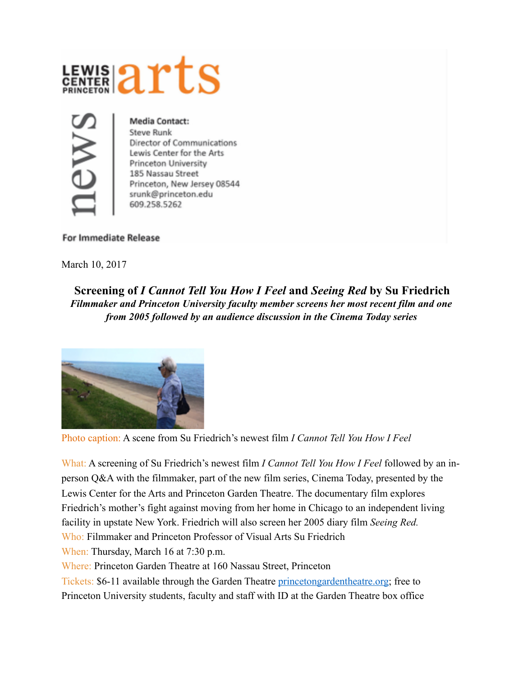



**Media Contact: Steve Runk** Director of Communications Lewis Center for the Arts Princeton University 185 Nassau Street Princeton, New Jersey 08544 srunk@princeton.edu 609.258.5262

## **For Immediate Release**

March 10, 2017

**Screening of** *I Cannot Tell You How I Feel* **and** *Seeing Red* **by Su Friedrich**  *Filmmaker and Princeton University faculty member screens her most recent film and one from 2005 followed by an audience discussion in the Cinema Today series* 



Photo caption: A scene from Su Friedrich's newest film *I Cannot Tell You How I Feel*

What: A screening of Su Friedrich's newest film *I Cannot Tell You How I Feel* followed by an inperson Q&A with the filmmaker, part of the new film series, Cinema Today, presented by the Lewis Center for the Arts and Princeton Garden Theatre. The documentary film explores Friedrich's mother's fight against moving from her home in Chicago to an independent living facility in upstate New York. Friedrich will also screen her 2005 diary film *Seeing Red.* Who: Filmmaker and Princeton Professor of Visual Arts Su Friedrich When: Thursday, March 16 at 7:30 p.m.

Where: Princeton Garden Theatre at 160 Nassau Street, Princeton

Tickets: \$6-11 available through the Garden Theatre [princetongardentheatre.org](http://www.princetongardentheatre.org); free to Princeton University students, faculty and staff with ID at the Garden Theatre box office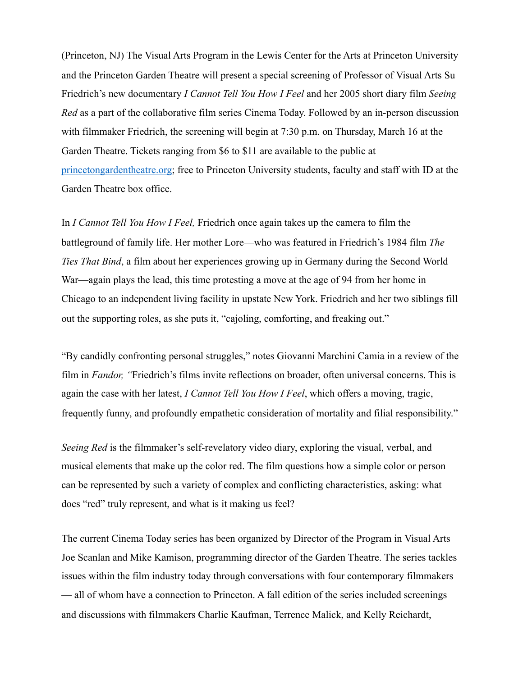(Princeton, NJ) The Visual Arts Program in the Lewis Center for the Arts at Princeton University and the Princeton Garden Theatre will present a special screening of Professor of Visual Arts Su Friedrich's new documentary *I Cannot Tell You How I Feel* and her 2005 short diary film *Seeing Red* as a part of the collaborative film series Cinema Today. Followed by an in-person discussion with filmmaker Friedrich, the screening will begin at 7:30 p.m. on Thursday, March 16 at the Garden Theatre. Tickets ranging from \$6 to \$11 are available to the public at [princetongardentheatre.org](http://www.princetongardentheatre.org); free to Princeton University students, faculty and staff with ID at the Garden Theatre box office.

In *I Cannot Tell You How I Feel,* Friedrich once again takes up the camera to film the battleground of family life. Her mother Lore—who was featured in Friedrich's 1984 film *The Ties That Bind*, a film about her experiences growing up in Germany during the Second World War—again plays the lead, this time protesting a move at the age of 94 from her home in Chicago to an independent living facility in upstate New York. Friedrich and her two siblings fill out the supporting roles, as she puts it, "cajoling, comforting, and freaking out."

"By candidly confronting personal struggles," notes Giovanni Marchini Camia in a review of the film in *Fandor, "*Friedrich's films invite reflections on broader, often universal concerns. This is again the case with her latest, *I Cannot Tell You How I Feel*, which offers a moving, tragic, frequently funny, and profoundly empathetic consideration of mortality and filial responsibility."

*Seeing Red* is the filmmaker's self-revelatory video diary, exploring the visual, verbal, and musical elements that make up the color red. The film questions how a simple color or person can be represented by such a variety of complex and conflicting characteristics, asking: what does "red" truly represent, and what is it making us feel?

The current Cinema Today series has been organized by Director of the Program in Visual Arts Joe Scanlan and Mike Kamison, programming director of the Garden Theatre. The series tackles issues within the film industry today through conversations with four contemporary filmmakers — all of whom have a connection to Princeton. A fall edition of the series included screenings and discussions with filmmakers Charlie Kaufman, Terrence Malick, and Kelly Reichardt,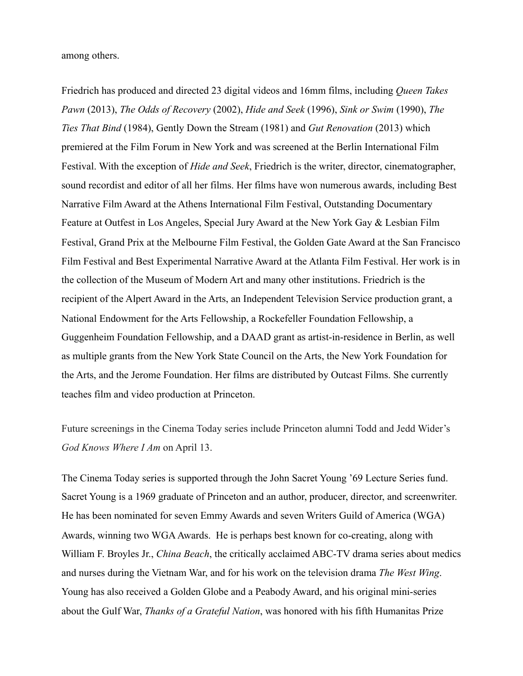among others.

Friedrich has produced and directed 23 digital videos and 16mm films, including *Queen Takes Pawn* (2013), *The Odds of Recovery* (2002), *Hide and Seek* (1996), *Sink or Swim* (1990), *The Ties That Bind* (1984), Gently Down the Stream (1981) and *Gut Renovation* (2013) which premiered at the Film Forum in New York and was screened at the Berlin International Film Festival. With the exception of *Hide and Seek*, Friedrich is the writer, director, cinematographer, sound recordist and editor of all her films. Her films have won numerous awards, including Best Narrative Film Award at the Athens International Film Festival, Outstanding Documentary Feature at Outfest in Los Angeles, Special Jury Award at the New York Gay & Lesbian Film Festival, Grand Prix at the Melbourne Film Festival, the Golden Gate Award at the San Francisco Film Festival and Best Experimental Narrative Award at the Atlanta Film Festival. Her work is in the collection of the Museum of Modern Art and many other institutions. Friedrich is the recipient of the Alpert Award in the Arts, an Independent Television Service production grant, a National Endowment for the Arts Fellowship, a Rockefeller Foundation Fellowship, a Guggenheim Foundation Fellowship, and a DAAD grant as artist-in-residence in Berlin, as well as multiple grants from the New York State Council on the Arts, the New York Foundation for the Arts, and the Jerome Foundation. Her films are distributed by Outcast Films. She currently teaches film and video production at Princeton.

Future screenings in the Cinema Today series include Princeton alumni Todd and Jedd Wider's *God Knows Where I Am* on April 13.

The Cinema Today series is supported through the John Sacret Young '69 Lecture Series fund. Sacret Young is a 1969 graduate of Princeton and an author, producer, director, and screenwriter. He has been nominated for seven Emmy Awards and seven Writers Guild of America (WGA) Awards, winning two WGA Awards. He is perhaps best known for co-creating, along with William F. Broyles Jr., *China Beach*, the critically acclaimed ABC-TV drama series about medics and nurses during the Vietnam War, and for his work on the television drama *The West Wing*. Young has also received a Golden Globe and a Peabody Award, and his original mini-series about the Gulf War, *Thanks of a Grateful Nation*, was honored with his fifth Humanitas Prize